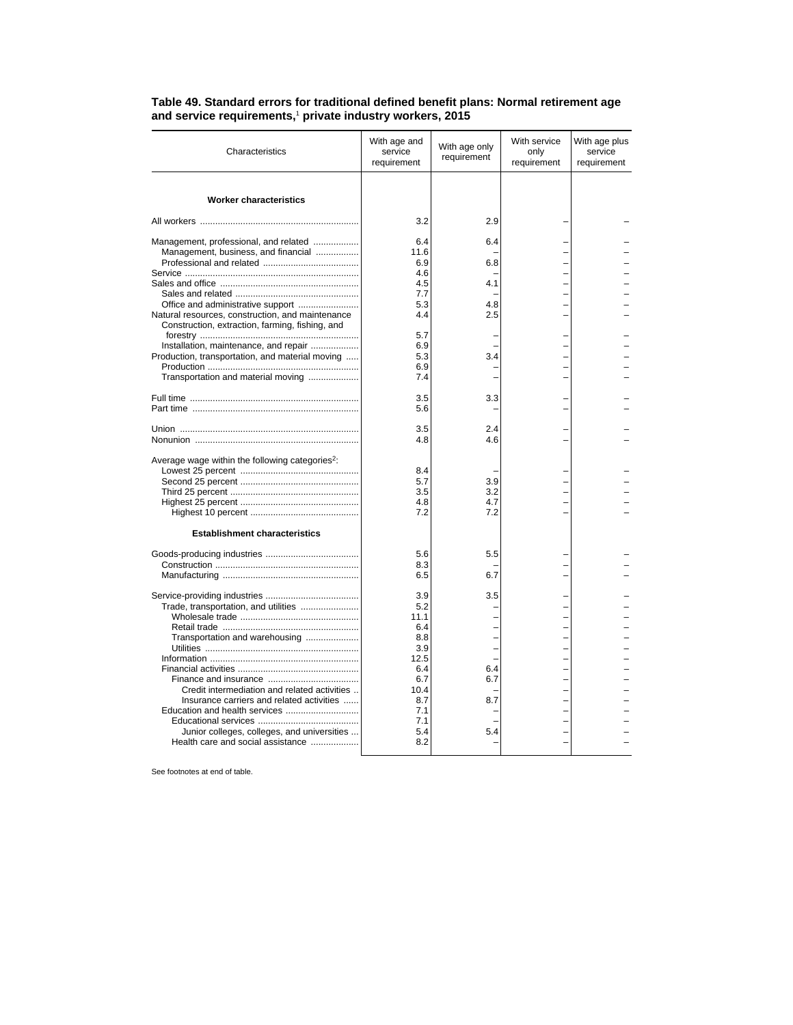| Characteristics                                                                                     | With age and<br>service<br>requirement | With age only<br>requirement | With service<br>only<br>requirement | With age plus<br>service<br>requirement |
|-----------------------------------------------------------------------------------------------------|----------------------------------------|------------------------------|-------------------------------------|-----------------------------------------|
| <b>Worker characteristics</b>                                                                       |                                        |                              |                                     |                                         |
|                                                                                                     | 3.2                                    | 2.9                          |                                     |                                         |
| Management, professional, and related                                                               | 6.4                                    | 6.4                          |                                     |                                         |
| Management, business, and financial                                                                 | 11.6                                   |                              |                                     |                                         |
|                                                                                                     | 6.9                                    | 6.8                          |                                     |                                         |
|                                                                                                     | 4.6                                    |                              |                                     |                                         |
|                                                                                                     | 4.5                                    | 4.1                          |                                     |                                         |
|                                                                                                     | 7.7                                    |                              |                                     |                                         |
| Office and administrative support                                                                   | 5.3                                    | 4.8                          |                                     |                                         |
| Natural resources, construction, and maintenance<br>Construction, extraction, farming, fishing, and | 4.4                                    | 2.5                          |                                     |                                         |
| Installation, maintenance, and repair                                                               | 5.7<br>6.9                             |                              |                                     |                                         |
| Production, transportation, and material moving                                                     | 5.3                                    | 3.4                          |                                     |                                         |
|                                                                                                     | 6.9                                    |                              |                                     |                                         |
| Transportation and material moving                                                                  | 7.4                                    |                              |                                     |                                         |
|                                                                                                     | 3.5                                    | 3.3                          |                                     |                                         |
|                                                                                                     | 5.6                                    |                              |                                     |                                         |
|                                                                                                     | 3.5                                    | 2.4                          |                                     |                                         |
|                                                                                                     | 4.8                                    | 4.6                          |                                     |                                         |
| Average wage within the following categories <sup>2</sup> :                                         |                                        |                              |                                     |                                         |
|                                                                                                     | 8.4                                    |                              |                                     |                                         |
|                                                                                                     | 5.7                                    | 3.9                          |                                     |                                         |
|                                                                                                     | 3.5                                    | 3.2                          |                                     |                                         |
|                                                                                                     | 4.8                                    | 4.7                          |                                     |                                         |
|                                                                                                     | 7.2                                    | 7.2                          |                                     |                                         |
| <b>Establishment characteristics</b>                                                                |                                        |                              |                                     |                                         |
|                                                                                                     | 5.6                                    | 5.5                          |                                     |                                         |
|                                                                                                     | 8.3                                    |                              |                                     |                                         |
|                                                                                                     | 6.5                                    | 6.7                          |                                     |                                         |
|                                                                                                     | 3.9                                    | 3.5                          |                                     |                                         |
| Trade, transportation, and utilities                                                                | 5.2                                    |                              |                                     |                                         |
|                                                                                                     | 11.1                                   |                              |                                     |                                         |
|                                                                                                     | 6.4                                    |                              |                                     |                                         |
| Transportation and warehousing                                                                      | 8.8<br>3.9                             |                              |                                     |                                         |
|                                                                                                     | 12.5                                   | L,                           |                                     |                                         |
|                                                                                                     | 6.4                                    | 6.4                          |                                     |                                         |
|                                                                                                     | 6.7                                    | 6.7                          |                                     |                                         |
| Credit intermediation and related activities                                                        | 10.4                                   |                              |                                     |                                         |
| Insurance carriers and related activities                                                           | 8.7                                    | 8.7                          |                                     |                                         |
|                                                                                                     | 7.1                                    |                              |                                     |                                         |
|                                                                                                     | 7.1                                    |                              |                                     |                                         |
| Junior colleges, colleges, and universities                                                         | 5.4                                    | 5.4                          |                                     |                                         |
| Health care and social assistance                                                                   | 8.2                                    |                              |                                     |                                         |

## **Table 49. Standard errors for traditional defined benefit plans: Normal retirement age and service requirements,**<sup>1</sup>  **private industry workers, 2015**

See footnotes at end of table.